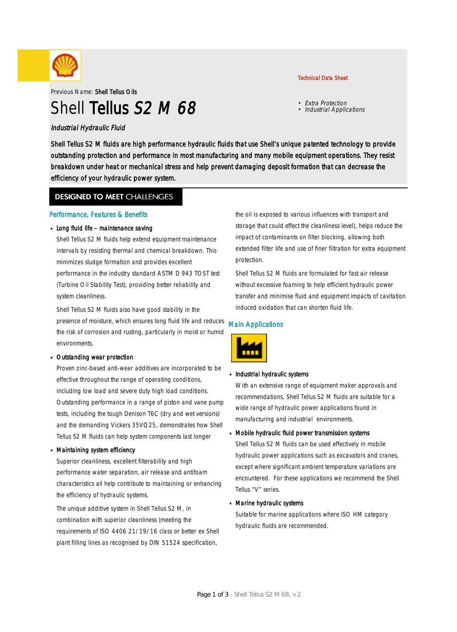

Previous Name: Shell Tellus Oils

# Shell Tellus S<sub>2</sub> M 68

### Industrial Hydraulic Fluid

Shell Tellus S2 M fluids are high performance hydraulic fluids that use Shell's unique patented technology to provide outstanding protection and performance in most manufacturing and many mobile equipment operations. They resist breakdown under heat or mechanical stress and help prevent damaging deposit formation that can decrease the efficiency of your hydraulic power system.

### **DESIGNED TO MEET CHALLENGES**

### Performance, Features & Benefits

### Long fluid life – maintenance saving

Shell Tellus S2 M fluids help extend equipment maintenance intervals by resisting thermal and chemical breakdown. This minimizes sludge formation and provides excellent performance in the industry standard ASTM D 943 TOST test (Turbine Oil Stability Test), providing better reliability and system cleanliness.

Shell Tellus S2 M fluids also have good stability in the presence of moisture, which ensures long fluid life and reduces the risk of corrosion and rusting, particularly in moist or humid environments.

#### Outstanding wear protection ·

Proven zinc-based anti-wear additives are incorporated to be effective throughout the range of operating conditions, including low load and severe duty high load conditions. Outstanding performance in a range of piston and vane pump tests, including the tough Denison T6C (dry and wet versions) and the demanding Vickers 35VQ25, demonstrates how Shell Tellus S2 M fluids can help system components last longer

#### Maintaining system efficiency ·

Superior cleanliness, excellent filterability and high performance water separation, air release and antifoam characteristics all help contribute to maintaining or enhancing the efficiency of hydraulic systems.

The unique additive system in Shell Tellus S2 M, in combination with superior cleanliness (meeting the requirements of ISO 4406 21/19/16 class or better ex Shell plant filling lines as recognised by DIN 51524 specification,

the oil is exposed to various influences with transport and storage that could effect the cleanliness level), helps reduce the impact of contaminants on filter blocking, allowing both extended filter life and use of finer filtration for extra equipment protection.

Shell Tellus S2 M fluids are formulated for fast air release without excessive foaming to help efficient hydraulic power transfer and minimise fluid and equipment impacts of cavitation induced oxidation that can shorten fluid life.

### Main Applications



## **Industrial hydraulic systems**

With an extensive range of equipment maker approvals and recommendations, Shell Tellus S2 M fluids are suitable for a wide range of hydraulic power applications found in manufacturing and industrial environments.

## Mobile hydraulic fluid power transmission systems ·

Shell Tellus S2 M fluids can be used effectively in mobile hydraulic power applications such as excavators and cranes, except where significant ambient temperature variations are encountered. For these applications we recommend the Shell Tellus "V" series.

## Marine hydraulic systems ·

Suitable for marine applications where ISO HM category hydraulic fluids are recommended.

### Technical Data Sheet

• Extra Protection • Industrial Applications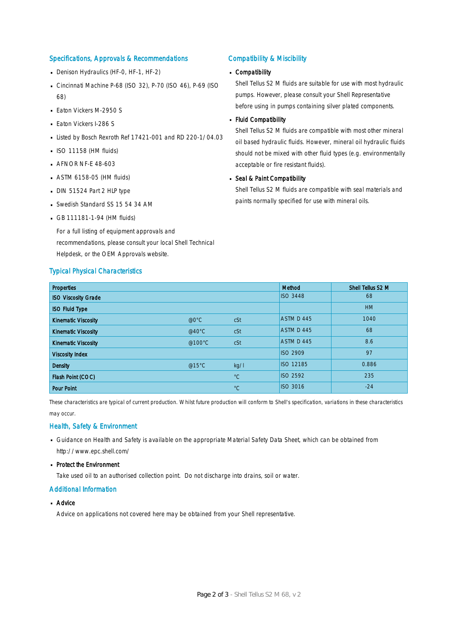### Specifications, Approvals & Recommendations

- Denison Hydraulics (HF-0, HF-1, HF-2)
- Cincinnati Machine P-68 (ISO 32), P-70 (ISO 46), P-69 (ISO 68)
- **Eaton Vickers M-2950 S**
- **Eaton Vickers I-286 S**
- Listed by Bosch Rexroth Ref 17421-001 and RD 220-1/04.03
- $\blacksquare$  ISO 11158 (HM fluids)
- **AFNOR NF-E 48-603**
- ASTM 6158-05 (HM fluids) ·
- DIN 51524 Part 2 HLP type
- Swedish Standard SS 15 54 34 AM
- GB 111181-1-94 (HM fluids)

For a full listing of equipment approvals and recommendations, please consult your local Shell Technical Helpdesk, or the OEM Approvals website.

#### Typical Physical Characteristics

#### Compatibility & Miscibility

## Compatibility ·

Shell Tellus S2 M fluids are suitable for use with most hydraulic pumps. However, please consult your Shell Representative before using in pumps containing silver plated components.

#### Fluid Compatibility ·

Shell Tellus S2 M fluids are compatible with most other mineral oil based hydraulic fluids. However, mineral oil hydraulic fluids should not be mixed with other fluid types (e.g. environmentally acceptable or fire resistant fluids).

## Seal & Paint Compatibility

Shell Tellus S2 M fluids are compatible with seal materials and paints normally specified for use with mineral oils.

| <b>Properties</b>          |                  |             | Method           | Shell Tellus S2 M |
|----------------------------|------------------|-------------|------------------|-------------------|
| <b>ISO Viscosity Grade</b> |                  |             | <b>ISO 3448</b>  | 68                |
| <b>ISO Fluid Type</b>      |                  |             |                  | <b>HM</b>         |
| <b>Kinematic Viscosity</b> | $@0^{\circ}$ C   | cSt         | ASTM D 445       | 1040              |
| <b>Kinematic Viscosity</b> | @40 $^{\circ}$ C | cSt         | ASTM D 445       | 68                |
| <b>Kinematic Viscosity</b> | @100°C           | cSt         | ASTM D 445       | 8.6               |
| <b>Viscosity Index</b>     |                  |             | <b>ISO 2909</b>  | 97                |
| <b>Density</b>             | @15°C            | kq/l        | <b>ISO 12185</b> | 0.886             |
| Flash Point (COC)          |                  | $^{\circ}C$ | <b>ISO 2592</b>  | 235               |
| <b>Pour Point</b>          |                  | $^{\circ}C$ | <b>ISO 3016</b>  | $-24$             |

These characteristics are typical of current production. Whilst future production will conform to Shell's specification, variations in these characteristics may occur.

### Health, Safety & Environment

- Guidance on Health and Safety is available on the appropriate Material Safety Data Sheet, which can be obtained from http://www.epc.shell.com/
- Protect the Environment

Take used oil to an authorised collection point. Do not discharge into drains, soil or water.

### Additional Information

■ Advice

Advice on applications not covered here may be obtained from your Shell representative.